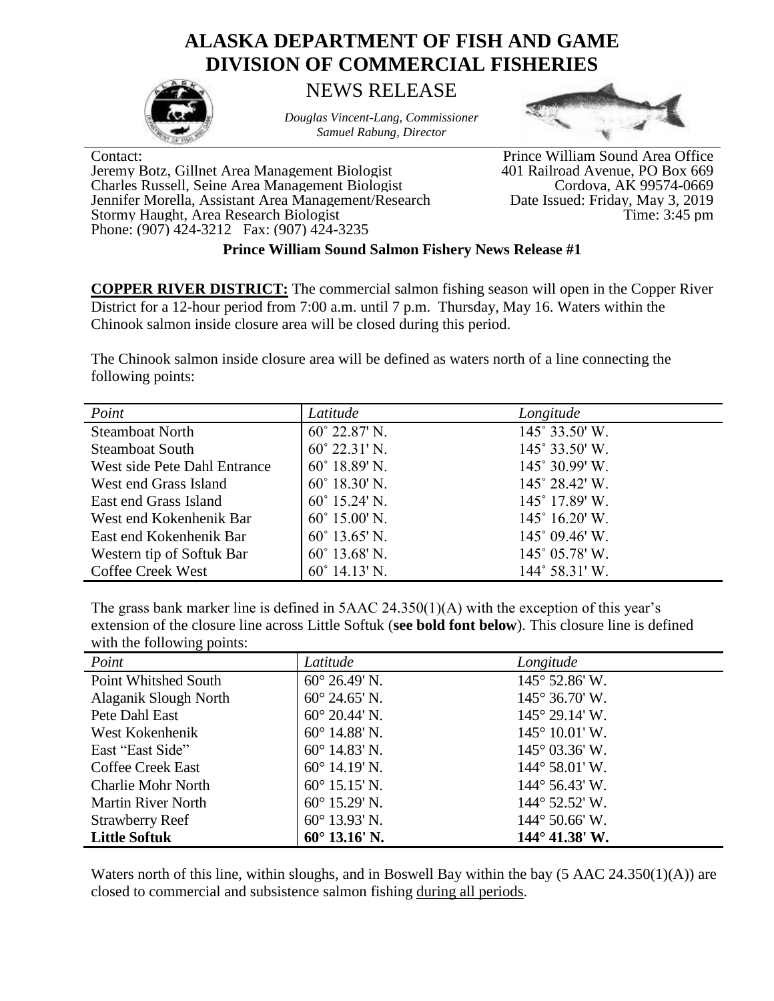## **ALASKA DEPARTMENT OF FISH AND GAME DIVISION OF COMMERCIAL FISHERIES**



*Douglas Vincent-Lang, Commissioner Samuel Rabung, Director*



Contact:<br>
Prince William Sound Area Office<br>
Jeremy Botz, Gillnet Area Management Biologist<br>
401 Railroad Avenue, PO Box 669 Jeremy Botz, Gillnet Area Management Biologist 401 Railroad Avenue, PO Box 669 Charles Russell, Seine Area Management Biologist Jennifer Morella, Assistant Area Management/Research Stormy Haught, Area Research Biologist Time: 3:45 pm Phone: (907) 424-3212 Fax: (907) 424-3235

Date Issued: Friday, May 3, 2019<br>Time: 3:45 pm

## **Prince William Sound Salmon Fishery News Release #1**

**COPPER RIVER DISTRICT:** The commercial salmon fishing season will open in the Copper River District for a 12-hour period from 7:00 a.m. until 7 p.m. Thursday, May 16. Waters within the Chinook salmon inside closure area will be closed during this period.

The Chinook salmon inside closure area will be defined as waters north of a line connecting the following points:

| Point                        | Latitude               | Longitude                      |
|------------------------------|------------------------|--------------------------------|
| <b>Steamboat North</b>       | $60^{\circ}$ 22.87' N. | $145^\circ 33.50'$ W.          |
| <b>Steamboat South</b>       | $60^{\circ}$ 22.31' N. | 145° 33.50' W.                 |
| West side Pete Dahl Entrance | $60^{\circ}$ 18.89' N. | 145° 30.99' W.                 |
| West end Grass Island        | $60^{\circ}$ 18.30' N. | $145^{\circ} 28.42^{\circ}$ W. |
| East end Grass Island        | $60^{\circ}$ 15.24' N. | $145^\circ$ 17.89' W.          |
| West end Kokenhenik Bar      | $60^{\circ}$ 15.00' N. | $145^{\circ}$ 16.20' W.        |
| East end Kokenhenik Bar      | $60^{\circ}$ 13.65' N. | $145^{\circ}$ 09.46' W.        |
| Western tip of Softuk Bar    | $60^{\circ}$ 13.68' N. | $145^{\circ}$ 05.78' W.        |
| <b>Coffee Creek West</b>     | $60^{\circ}$ 14.13' N. | 144° 58.31′ W.                 |

The grass bank marker line is defined in 5AAC 24.350(1)(A) with the exception of this year's extension of the closure line across Little Softuk (**see bold font below**). This closure line is defined with the following points:

| Point                     | Latitude               | Longitude               |
|---------------------------|------------------------|-------------------------|
| Point Whitshed South      | $60^{\circ}$ 26.49' N. | 145° 52.86' W.          |
| Alaganik Slough North     | $60^{\circ}$ 24.65' N. | $145^{\circ}$ 36.70' W. |
| Pete Dahl East            | $60^{\circ}$ 20.44' N. | $145^{\circ}$ 29.14' W. |
| West Kokenhenik           | $60^{\circ}$ 14.88' N. | $145^{\circ}$ 10.01' W. |
| East "East Side"          | $60^{\circ}$ 14.83' N. | $145^{\circ}$ 03.36' W. |
| <b>Coffee Creek East</b>  | $60^{\circ}$ 14.19' N. | $144^{\circ}$ 58.01' W. |
| <b>Charlie Mohr North</b> | $60^{\circ}$ 15.15' N. | $144^{\circ}$ 56.43' W. |
| <b>Martin River North</b> | $60^{\circ}$ 15.29' N. | $144^{\circ}$ 52.52' W. |
| <b>Strawberry Reef</b>    | $60^{\circ}$ 13.93' N. | $144^{\circ}$ 50.66' W. |
| <b>Little Softuk</b>      | $60^{\circ}$ 13.16' N. | $144^{\circ}$ 41.38' W. |

Waters north of this line, within sloughs, and in Boswell Bay within the bay (5 AAC 24.350(1)(A)) are closed to commercial and subsistence salmon fishing during all periods.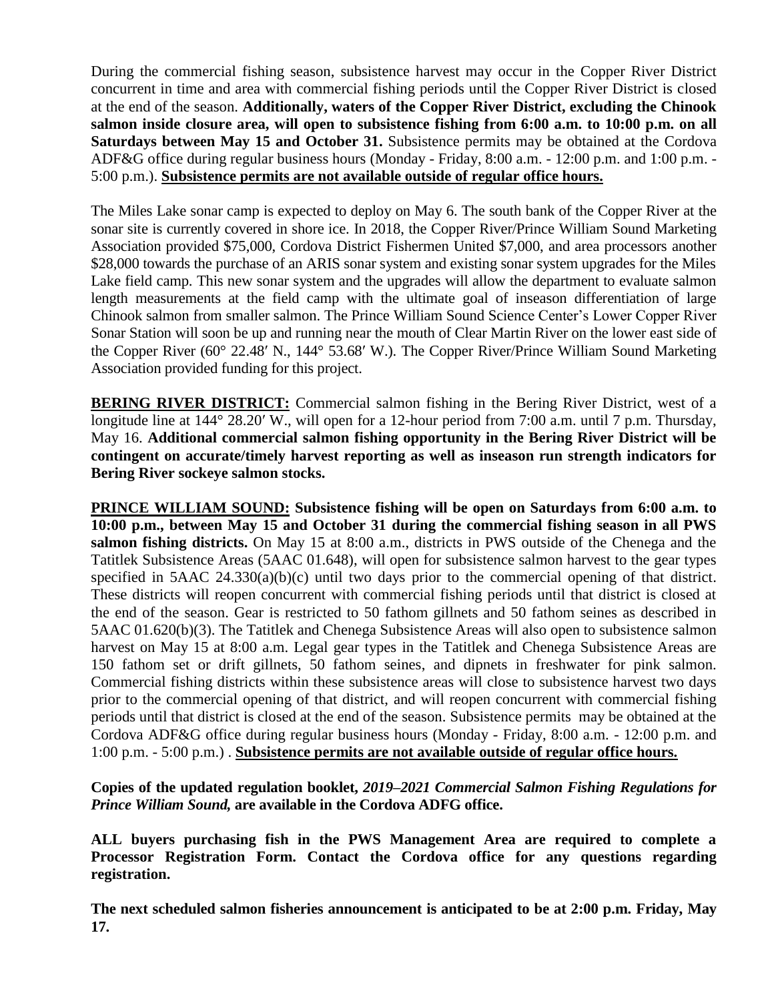During the commercial fishing season, subsistence harvest may occur in the Copper River District concurrent in time and area with commercial fishing periods until the Copper River District is closed at the end of the season. **Additionally, waters of the Copper River District, excluding the Chinook salmon inside closure area, will open to subsistence fishing from 6:00 a.m. to 10:00 p.m. on all Saturdays between May 15 and October 31.** Subsistence permits may be obtained at the Cordova ADF&G office during regular business hours (Monday - Friday, 8:00 a.m. - 12:00 p.m. and 1:00 p.m. - 5:00 p.m.). **Subsistence permits are not available outside of regular office hours.**

The Miles Lake sonar camp is expected to deploy on May 6. The south bank of the Copper River at the sonar site is currently covered in shore ice. In 2018, the Copper River/Prince William Sound Marketing Association provided \$75,000, Cordova District Fishermen United \$7,000, and area processors another \$28,000 towards the purchase of an ARIS sonar system and existing sonar system upgrades for the Miles Lake field camp. This new sonar system and the upgrades will allow the department to evaluate salmon length measurements at the field camp with the ultimate goal of inseason differentiation of large Chinook salmon from smaller salmon. The Prince William Sound Science Center's Lower Copper River Sonar Station will soon be up and running near the mouth of Clear Martin River on the lower east side of the Copper River (60° 22.48ʹ N., 144° 53.68ʹ W.). The Copper River/Prince William Sound Marketing Association provided funding for this project.

**BERING RIVER DISTRICT:** Commercial salmon fishing in the Bering River District, west of a longitude line at 144° 28.20′ W., will open for a 12-hour period from 7:00 a.m. until 7 p.m. Thursday, May 16. **Additional commercial salmon fishing opportunity in the Bering River District will be contingent on accurate/timely harvest reporting as well as inseason run strength indicators for Bering River sockeye salmon stocks.**

**PRINCE WILLIAM SOUND: Subsistence fishing will be open on Saturdays from 6:00 a.m. to 10:00 p.m., between May 15 and October 31 during the commercial fishing season in all PWS salmon fishing districts.** On May 15 at 8:00 a.m., districts in PWS outside of the Chenega and the Tatitlek Subsistence Areas (5AAC 01.648), will open for subsistence salmon harvest to the gear types specified in 5AAC 24.330(a)(b)(c) until two days prior to the commercial opening of that district. These districts will reopen concurrent with commercial fishing periods until that district is closed at the end of the season. Gear is restricted to 50 fathom gillnets and 50 fathom seines as described in 5AAC 01.620(b)(3). The Tatitlek and Chenega Subsistence Areas will also open to subsistence salmon harvest on May 15 at 8:00 a.m. Legal gear types in the Tatitlek and Chenega Subsistence Areas are 150 fathom set or drift gillnets, 50 fathom seines, and dipnets in freshwater for pink salmon. Commercial fishing districts within these subsistence areas will close to subsistence harvest two days prior to the commercial opening of that district, and will reopen concurrent with commercial fishing periods until that district is closed at the end of the season. Subsistence permits may be obtained at the Cordova ADF&G office during regular business hours (Monday - Friday, 8:00 a.m. - 12:00 p.m. and 1:00 p.m. - 5:00 p.m.) . **Subsistence permits are not available outside of regular office hours.**

**Copies of the updated regulation booklet,** *2019–2021 Commercial Salmon Fishing Regulations for Prince William Sound,* **are available in the Cordova ADFG office.**

**ALL buyers purchasing fish in the PWS Management Area are required to complete a Processor Registration Form. Contact the Cordova office for any questions regarding registration.** 

**The next scheduled salmon fisheries announcement is anticipated to be at 2:00 p.m. Friday, May 17.**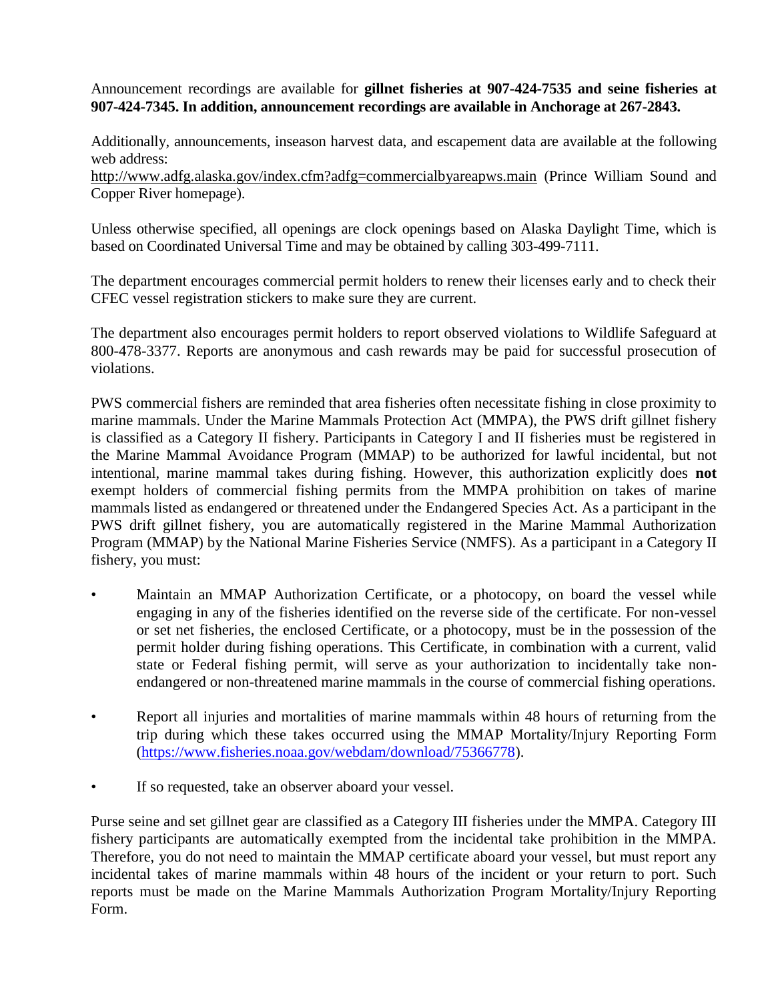Announcement recordings are available for **gillnet fisheries at 907-424-7535 and seine fisheries at 907-424-7345. In addition, announcement recordings are available in Anchorage at 267-2843.**

Additionally, announcements, inseason harvest data, and escapement data are available at the following web address:

<http://www.adfg.alaska.gov/index.cfm?adfg=commercialbyareapws.main> (Prince William Sound and Copper River homepage).

Unless otherwise specified, all openings are clock openings based on Alaska Daylight Time, which is based on Coordinated Universal Time and may be obtained by calling 303-499-7111.

The department encourages commercial permit holders to renew their licenses early and to check their CFEC vessel registration stickers to make sure they are current.

The department also encourages permit holders to report observed violations to Wildlife Safeguard at 800-478-3377. Reports are anonymous and cash rewards may be paid for successful prosecution of violations.

PWS commercial fishers are reminded that area fisheries often necessitate fishing in close proximity to marine mammals. Under the Marine Mammals Protection Act (MMPA), the PWS drift gillnet fishery is classified as a Category II fishery. Participants in Category I and II fisheries must be registered in the Marine Mammal Avoidance Program (MMAP) to be authorized for lawful incidental, but not intentional, marine mammal takes during fishing. However, this authorization explicitly does **not**  exempt holders of commercial fishing permits from the MMPA prohibition on takes of marine mammals listed as endangered or threatened under the Endangered Species Act. As a participant in the PWS drift gillnet fishery, you are automatically registered in the Marine Mammal Authorization Program (MMAP) by the National Marine Fisheries Service (NMFS). As a participant in a Category II fishery, you must:

- Maintain an MMAP Authorization Certificate, or a photocopy, on board the vessel while engaging in any of the fisheries identified on the reverse side of the certificate. For non-vessel or set net fisheries, the enclosed Certificate, or a photocopy, must be in the possession of the permit holder during fishing operations. This Certificate, in combination with a current, valid state or Federal fishing permit, will serve as your authorization to incidentally take nonendangered or non-threatened marine mammals in the course of commercial fishing operations.
- Report all injuries and mortalities of marine mammals within 48 hours of returning from the trip during which these takes occurred using the MMAP Mortality/Injury Reporting Form [\(https://www.fisheries.noaa.gov/webdam/download/75366778\)](https://www.fisheries.noaa.gov/webdam/download/75366778).
- If so requested, take an observer aboard your vessel.

Purse seine and set gillnet gear are classified as a Category III fisheries under the MMPA. Category III fishery participants are automatically exempted from the incidental take prohibition in the MMPA. Therefore, you do not need to maintain the MMAP certificate aboard your vessel, but must report any incidental takes of marine mammals within 48 hours of the incident or your return to port. Such reports must be made on the Marine Mammals Authorization Program Mortality/Injury Reporting Form.